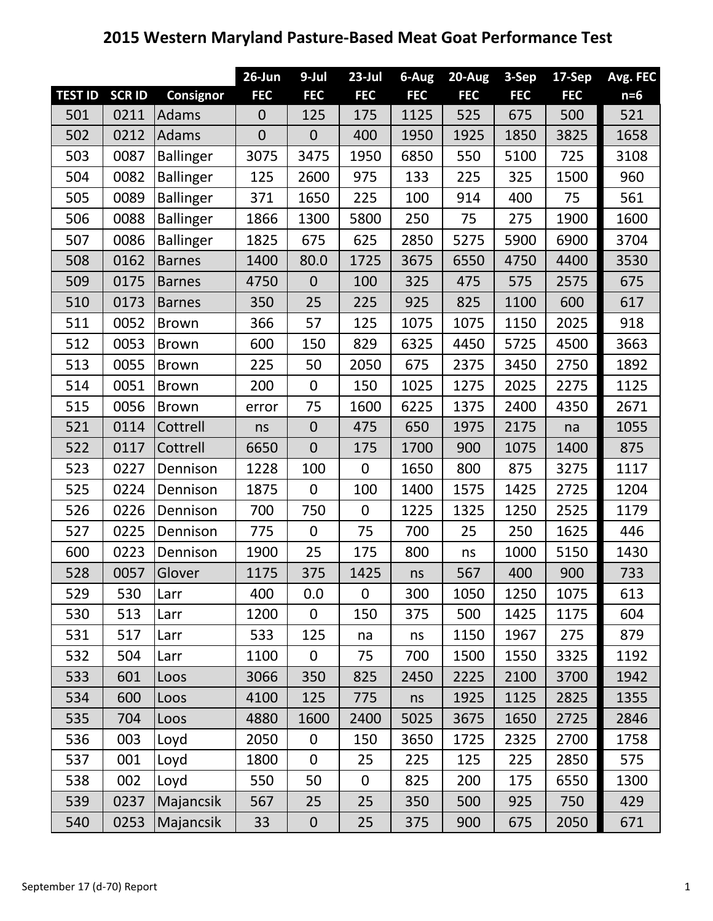## **2015 Western Maryland Pasture-Based Meat Goat Performance Test**

|                |               |                  | 26-Jun       | 9-Jul            | $23$ -Jul      | 6-Aug      | 20-Aug     | 3-Sep      | 17-Sep     | Avg. FEC |
|----------------|---------------|------------------|--------------|------------------|----------------|------------|------------|------------|------------|----------|
| <b>TEST ID</b> | <b>SCR ID</b> | Consignor        | <b>FEC</b>   | <b>FEC</b>       | <b>FEC</b>     | <b>FEC</b> | <b>FEC</b> | <b>FEC</b> | <b>FEC</b> | $n=6$    |
| 501            | 0211          | <b>Adams</b>     | $\theta$     | 125              | 175            | 1125       | 525        | 675        | 500        | 521      |
| 502            | 0212          | Adams            | $\mathbf{0}$ | $\mathbf 0$      | 400            | 1950       | 1925       | 1850       | 3825       | 1658     |
| 503            | 0087          | <b>Ballinger</b> | 3075         | 3475             | 1950           | 6850       | 550        | 5100       | 725        | 3108     |
| 504            | 0082          | <b>Ballinger</b> | 125          | 2600             | 975            | 133        | 225        | 325        | 1500       | 960      |
| 505            | 0089          | <b>Ballinger</b> | 371          | 1650             | 225            | 100        | 914        | 400        | 75         | 561      |
| 506            | 0088          | <b>Ballinger</b> | 1866         | 1300             | 5800           | 250        | 75         | 275        | 1900       | 1600     |
| 507            | 0086          | <b>Ballinger</b> | 1825         | 675              | 625            | 2850       | 5275       | 5900       | 6900       | 3704     |
| 508            | 0162          | <b>Barnes</b>    | 1400         | 80.0             | 1725           | 3675       | 6550       | 4750       | 4400       | 3530     |
| 509            | 0175          | <b>Barnes</b>    | 4750         | $\overline{0}$   | 100            | 325        | 475        | 575        | 2575       | 675      |
| 510            | 0173          | <b>Barnes</b>    | 350          | 25               | 225            | 925        | 825        | 1100       | 600        | 617      |
| 511            | 0052          | <b>Brown</b>     | 366          | 57               | 125            | 1075       | 1075       | 1150       | 2025       | 918      |
| 512            | 0053          | <b>Brown</b>     | 600          | 150              | 829            | 6325       | 4450       | 5725       | 4500       | 3663     |
| 513            | 0055          | <b>Brown</b>     | 225          | 50               | 2050           | 675        | 2375       | 3450       | 2750       | 1892     |
| 514            | 0051          | <b>Brown</b>     | 200          | $\mathbf 0$      | 150            | 1025       | 1275       | 2025       | 2275       | 1125     |
| 515            | 0056          | <b>Brown</b>     | error        | 75               | 1600           | 6225       | 1375       | 2400       | 4350       | 2671     |
| 521            | 0114          | Cottrell         | ns           | $\mathbf 0$      | 475            | 650        | 1975       | 2175       | na         | 1055     |
| 522            | 0117          | Cottrell         | 6650         | $\overline{0}$   | 175            | 1700       | 900        | 1075       | 1400       | 875      |
| 523            | 0227          | Dennison         | 1228         | 100              | $\overline{0}$ | 1650       | 800        | 875        | 3275       | 1117     |
| 525            | 0224          | Dennison         | 1875         | 0                | 100            | 1400       | 1575       | 1425       | 2725       | 1204     |
| 526            | 0226          | Dennison         | 700          | 750              | $\overline{0}$ | 1225       | 1325       | 1250       | 2525       | 1179     |
| 527            | 0225          | Dennison         | 775          | 0                | 75             | 700        | 25         | 250        | 1625       | 446      |
| 600            | 0223          | Dennison         | 1900         | 25               | 175            | 800        | ns         | 1000       | 5150       | 1430     |
| 528            | 0057          | Glover           | 1175         | 375              | 1425           | ns         | 567        | 400        | 900        | 733      |
| 529            | 530           | Larr             | 400          | 0.0              | 0              | 300        | 1050       | 1250       | 1075       | 613      |
| 530            | 513           | Larr             | 1200         | $\boldsymbol{0}$ | 150            | 375        | 500        | 1425       | 1175       | 604      |
| 531            | 517           | Larr             | 533          | 125              | na             | ns         | 1150       | 1967       | 275        | 879      |
| 532            | 504           | Larr             | 1100         | 0                | 75             | 700        | 1500       | 1550       | 3325       | 1192     |
| 533            | 601           | Loos             | 3066         | 350              | 825            | 2450       | 2225       | 2100       | 3700       | 1942     |
| 534            | 600           | Loos             | 4100         | 125              | 775            | ns         | 1925       | 1125       | 2825       | 1355     |
| 535            | 704           | Loos             | 4880         | 1600             | 2400           | 5025       | 3675       | 1650       | 2725       | 2846     |
| 536            | 003           | Loyd             | 2050         | 0                | 150            | 3650       | 1725       | 2325       | 2700       | 1758     |
| 537            | 001           | Loyd             | 1800         | $\mathbf 0$      | 25             | 225        | 125        | 225        | 2850       | 575      |
| 538            | 002           | Loyd             | 550          | 50               | $\mathbf 0$    | 825        | 200        | 175        | 6550       | 1300     |
| 539            | 0237          | Majancsik        | 567          | 25               | 25             | 350        | 500        | 925        | 750        | 429      |
| 540            | 0253          | Majancsik        | 33           | $\boldsymbol{0}$ | 25             | 375        | 900        | 675        | 2050       | 671      |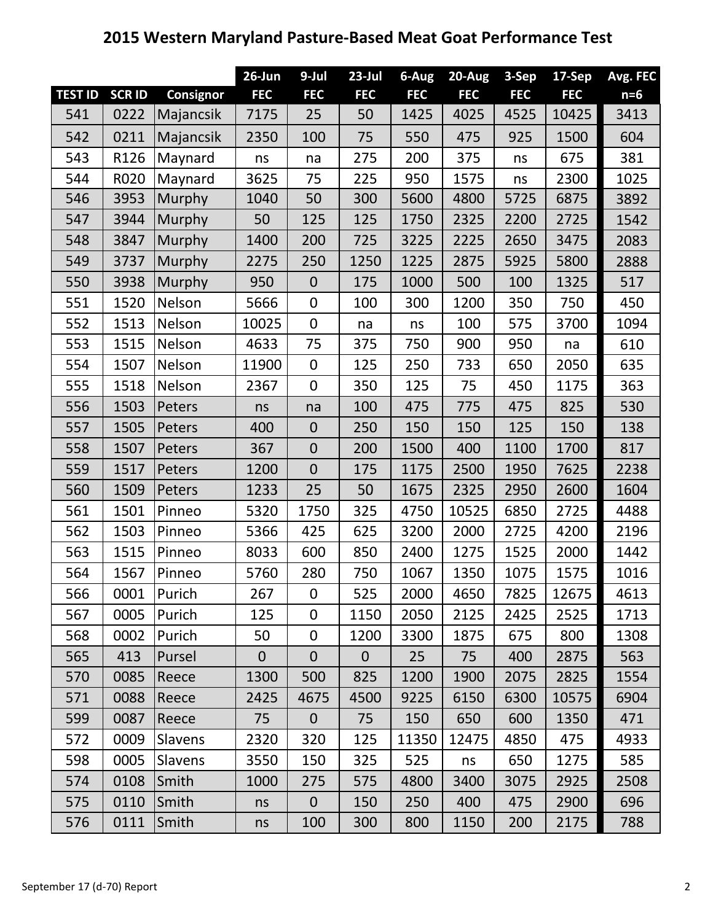## **26-Jun 9-Jul 23-Jul 6-Aug 20-Aug 3-Sep 17-Sep Avg. FEC TEST ID SCR ID Consignor FEC FEC FEC FEC FEC FEC FEC n=6** 0222 Majancsik 7175 25 50 1425 4025 4525 10425 3413 542 | 0211 | Majancsik | 2350 | 100 | 75 | 550 | 475 | 925 | 1500 | 604 543 | R126 |Maynard | ns | na | 275 | 200 | 375 | ns | 675 | 381 544 R020 Maynard 3625 75 225 950 1575 ns 2300 1025 3953 Murphy 1040 50 300 5600 4800 5725 6875 3892 3944 Murphy 50 125 125 1750 2325 2200 2725 1542 3847 Murphy 1400 200 725 3225 2225 2650 3475 2083 3737 Murphy 2275 250 1250 1225 2875 5925 5800 2888 3938 Murphy 950 0 175 1000 500 100 1325 517 1520 Nelson 5666 0 100 300 1200 350 750 450 552 | 1513 |Nelson | 10025 | 0 | na | ns | 100 | 575 | 3700 | 1094 1515 Nelson 4633 75 375 750 900 950 na 610 1507 Nelson 11900 0 125 250 733 650 2050 635 1518 Nelson 2367 0 350 125 75 450 1175 363 556 | 1503 |Peters | ns | na | 100 | 475 | 775 | 475 | 825 | 530 1505 Peters 400 0 250 150 150 125 150 138 1507 Peters 367 0 200 1500 400 1100 1700 817 1517 Peters 1200 0 175 1175 2500 1950 7625 2238 1509 Peters 1233 25 50 1675 2325 2950 2600 1604 1501 Pinneo 5320 1750 325 4750 10525 6850 2725 4488 1503 Pinneo 5366 425 625 3200 2000 2725 4200 2196 1515 Pinneo 8033 600 850 2400 1275 1525 2000 1442 1567 Pinneo 5760 280 750 1067 1350 1075 1575 1016 0001 Purich 267 0 525 2000 4650 7825 12675 4613 0005 Purich 125 0 1150 2050 2125 2425 2525 1713 0002 Purich 50 0 1200 3300 1875 675 800 1308 413 Pursel 0 0 0 25 75 400 2875 563 0085 Reece 1300 500 825 1200 1900 2075 2825 1554 571 | 0088 |Reece | 2425 | 4675 | 4500 | 9225 | 6150 | 6300 | 10575 | 6904 0087 Reece 75 0 75 150 650 600 1350 471 572 | 0009 |Slavens | 2320 | 320 | 125 | 11350 | 12475 | 4850 | 475 | 4933 598 | 0005 |Slavens | 3550 | 150 | 325 | 525 | ns | 650 | 1275 | 585 574 | 0108 |Smith | 1000 | 275 | 575 | 4800 | 3400 | 3075 | 2925 | 2508 0110 Smith ns 0 150 250 400 475 2900 696 0111 Smith ns 100 300 800 1150 200 2175 788

## **2015 Western Maryland Pasture-Based Meat Goat Performance Test**